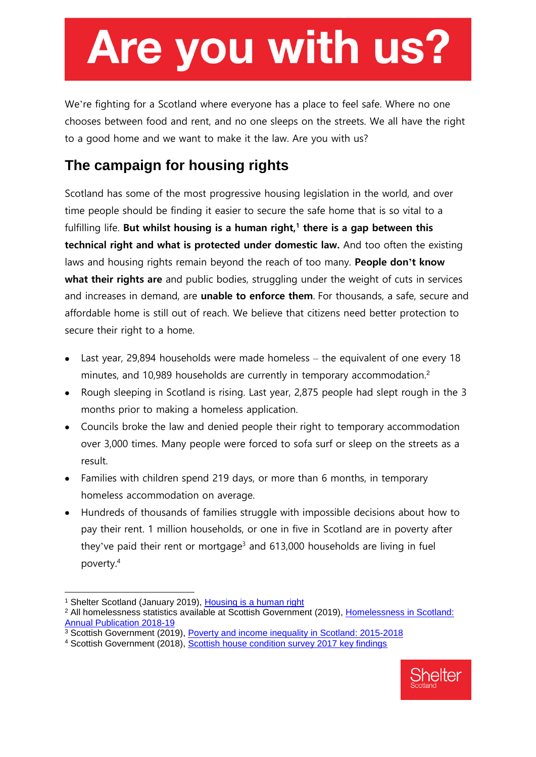## Are you with us?

We're fighting for a Scotland where everyone has a place to feel safe. Where no one chooses between food and rent, and no one sleeps on the streets. We all have the right to a good home and we want to make it the law. Are you with us?

### **The campaign for housing rights**

Scotland has some of the most progressive housing legislation in the world, and over time people should be finding it easier to secure the safe home that is so vital to a fulfilling life. **But whilst housing is a human right,<sup>1</sup> there is a gap between this technical right and what is protected under domestic law.** And too often the existing laws and housing rights remain beyond the reach of too many. **People don't know what their rights are** and public bodies, struggling under the weight of cuts in services and increases in demand, are **unable to enforce them**. For thousands, a safe, secure and affordable home is still out of reach. We believe that citizens need better protection to secure their right to a home.

- Last year, 29,894 households were made homeless the equivalent of one every 18 minutes, and 10,989 households are currently in temporary accommodation.<sup>2</sup>
- Rough sleeping in Scotland is rising. Last year, 2,875 people had slept rough in the 3 months prior to making a homeless application.
- Councils broke the law and denied people their right to temporary accommodation over 3,000 times. Many people were forced to sofa surf or sleep on the streets as a result.
- Families with children spend 219 days, or more than 6 months, in temporary homeless accommodation on average.
- Hundreds of thousands of families struggle with impossible decisions about how to pay their rent. 1 million households, or one in five in Scotland are in poverty after they've paid their rent or mortgage<sup>3</sup> and  $613,000$  households are living in fuel poverty.<sup>4</sup>

-

<sup>4</sup> Scottish Government (2018), [Scottish house condition survey 2017 key findings](https://www.gov.scot/publications/scottish-house-condition-survey-2017-key-findings/)



<sup>&</sup>lt;sup>1</sup> Shelter Scotland (January 2019), [Housing is a human right](https://scotland.shelter.org.uk/professional_resources/policy_library/policy_library_folder/housing_is_a_human_right)

<sup>2</sup> All homelessness statistics available at Scottish Government (2019), [Homelessness in Scotland:](https://www2.gov.scot/Topics/Statistics/Browse/Housing-Regeneration/RefTables/homelessness1819tablescharts)  [Annual Publication 2018-19](https://www2.gov.scot/Topics/Statistics/Browse/Housing-Regeneration/RefTables/homelessness1819tablescharts)

<sup>3</sup> Scottish Government (2019), [Poverty and income inequality in Scotland: 2015-2018](https://www.gov.scot/publications/poverty-income-inequality-scotland-2015-18/)